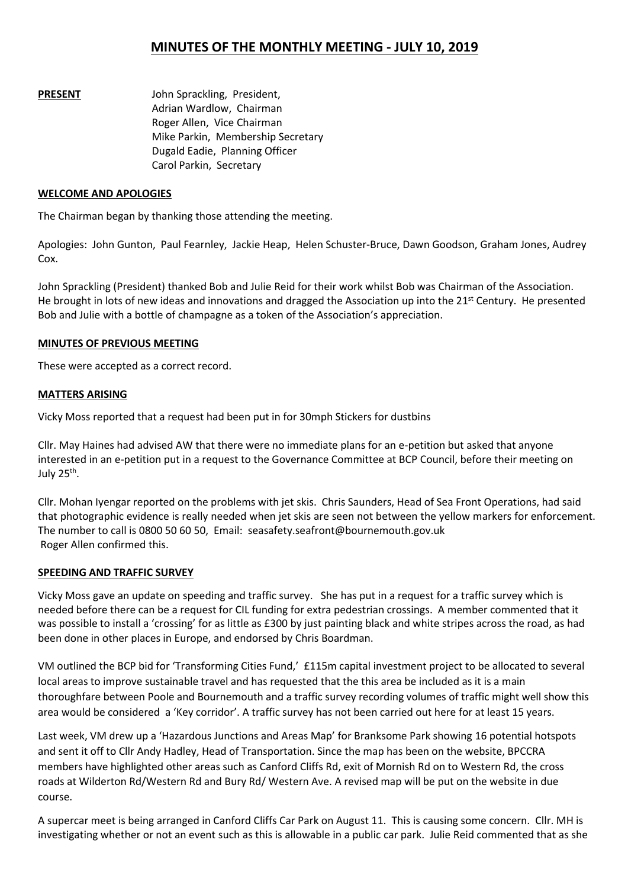# **MINUTES OF THE MONTHLY MEETING - JULY 10, 2019**

**PRESENT** John Sprackling, President, Adrian Wardlow, Chairman Roger Allen, Vice Chairman Mike Parkin, Membership Secretary Dugald Eadie, Planning Officer Carol Parkin, Secretary

#### **WELCOME AND APOLOGIES**

The Chairman began by thanking those attending the meeting.

Apologies: John Gunton, Paul Fearnley, Jackie Heap, Helen Schuster-Bruce, Dawn Goodson, Graham Jones, Audrey Cox.

John Sprackling (President) thanked Bob and Julie Reid for their work whilst Bob was Chairman of the Association. He brought in lots of new ideas and innovations and dragged the Association up into the 21<sup>st</sup> Century. He presented Bob and Julie with a bottle of champagne as a token of the Association's appreciation.

#### **MINUTES OF PREVIOUS MEETING**

These were accepted as a correct record.

#### **MATTERS ARISING**

Vicky Moss reported that a request had been put in for 30mph Stickers for dustbins

Cllr. May Haines had advised AW that there were no immediate plans for an e-petition but asked that anyone interested in an e-petition put in a request to the Governance Committee at BCP Council, before their meeting on July 25<sup>th</sup>.  $\blacksquare$ .

Cllr. Mohan Iyengar reported on the problems with jet skis. Chris Saunders, Head of Sea Front Operations, had said that photographic evidence is really needed when jet skis are seen not between the yellow markers for enforcement. The number to call is 0800 50 60 50, Email: seasafety.seafront@bournemouth.gov.uk Roger Allen confirmed this.

### **SPEEDING AND TRAFFIC SURVEY**

Vicky Moss gave an update on speeding and traffic survey. She has put in a request for a traffic survey which is needed before there can be a request for CIL funding for extra pedestrian crossings. A member commented that it was possible to install a 'crossing' for as little as £300 by just painting black and white stripes across the road, as had been done in other places in Europe, and endorsed by Chris Boardman.

VM outlined the BCP bid for 'Transforming Cities Fund,' £115m capital investment project to be allocated to several local areas to improve sustainable travel and has requested that the this area be included as it is a main thoroughfare between Poole and Bournemouth and a traffic survey recording volumes of traffic might well show this area would be considered a'Key corridor'. A traffic survey has not been carried out here for at least 15 years.

Last week, VM drew up a 'Hazardous Junctions and Areas Map' for Branksome Park showing 16 potential hotspots and sent it off to Cllr Andy Hadley, Head of Transportation. Since the map has been on the website, BPCCRA members have highlighted other areas such as Canford Cliffs Rd, exit of Mornish Rd on to Western Rd, the cross roads atWilderton Rd/Western Rd and Bury Rd/ Western Ave. A revised map will be put on the website in due course.

A supercar meet is being arranged in Canford Cliffs Car Park on August 11. This is causing some concern. Cllr. MH is investigating whether or not an event such as this is allowable in a public car park. Julie Reid commented that as she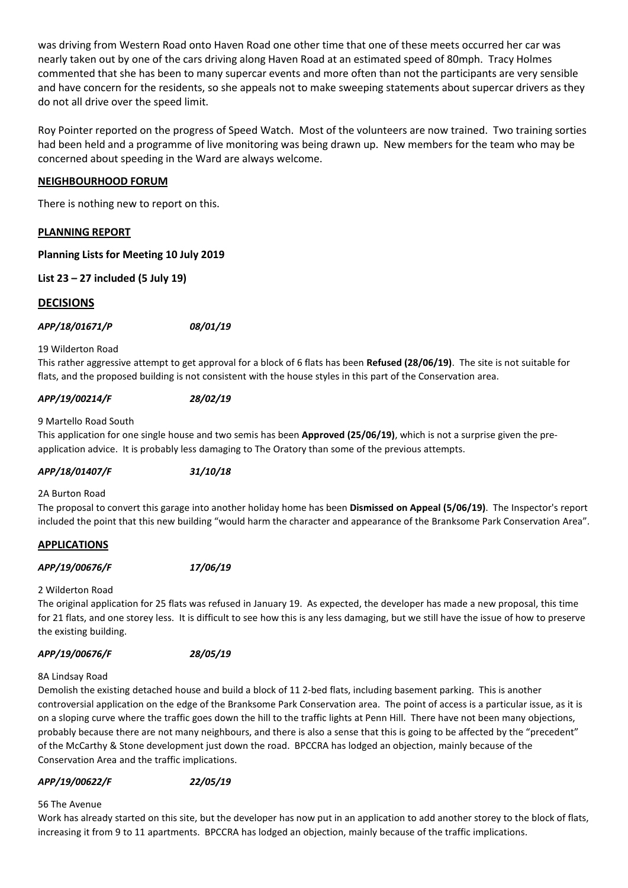was driving from Western Road onto Haven Road one other time that one of these meets occurred her car was nearly taken out by one of the cars driving along Haven Road at an estimated speed of 80mph. Tracy Holmes commented that she has been to many supercar events and more often than not the participants are very sensible and have concern for the residents, so she appeals not to make sweeping statements about supercar drivers as they do not all drive over the speed limit.

Roy Pointer reported on the progress of Speed Watch. Most of the volunteers are now trained. Two training sorties had been held and a programme of live monitoring was being drawn up. New members for the team who may be concerned about speeding in the Ward are always welcome.

### **NEIGHBOURHOOD FORUM**

There is nothing new to report on this.

### **PLANNING REPORT**

### **Planning Lists for Meeting 10 July 2019**

**List 23 – 27 included (5 July 19)**

## **DECISIONS**

### *APP/18/01671/P 08/01/19*

#### 19 Wilderton Road

This rather aggressive attempt to get approval for a block of 6 flats has been **Refused (28/06/19)**. The site is not suitable for flats, and the proposed building is not consistent with the house styles in this part of the Conservation area.

### *APP/19/00214/F 28/02/19*

#### 9 Martello Road South

This application for one single house and two semishas been **Approved (25/06/19)**, which is not a surprise given the pre application advice. It is probably less damaging to The Oratory than some of the previous attempts.

### *APP/18/01407/F 31/10/18*

#### 2A Burton Road

The proposal to convert this garage into another holiday home has been **Dismissed on Appeal (5/06/19)**. The Inspector's report included the point that this new building "would harm the character and appearance of the Branksome Park Conservation Area".

### **APPLICATIONS**

### *APP/19/00676/F 17/06/19*

### 2 Wilderton Road

The original application for 25 flats was refused in January 19. As expected, the developer has made a new proposal, this time for 21 flats, and one storey less. It is difficult to see how this is any less damaging, but we still have the issue of how to preserve the existing building.

### *APP/19/00676/F 28/05/19*

### 8A Lindsay Road

Demolish the existing detached house and build a block of 11 2-bed flats, including basement parking. This is another controversial application on the edge of the Branksome Park Conservation area. The point of access is a particular issue, as it is on a sloping curve where the traffic goes down the hill to the traffic lights at Penn Hill. There have not been many objections, probably because there are not many neighbours, and there is also a sense that this is going to be affected by the "precedent" of the McCarthy & Stone development just down the road. BPCCRA has lodged an objection, mainly because of the Conservation Area and the traffic implications.

### *APP/19/00622/F 22/05/19*

## 56 The Avenue

Work has already started on this site, but the developer has now put in an application to add another storey to the block of flats, increasing it from 9 to 11 apartments. BPCCRA has lodged an objection, mainly because of the traffic implications.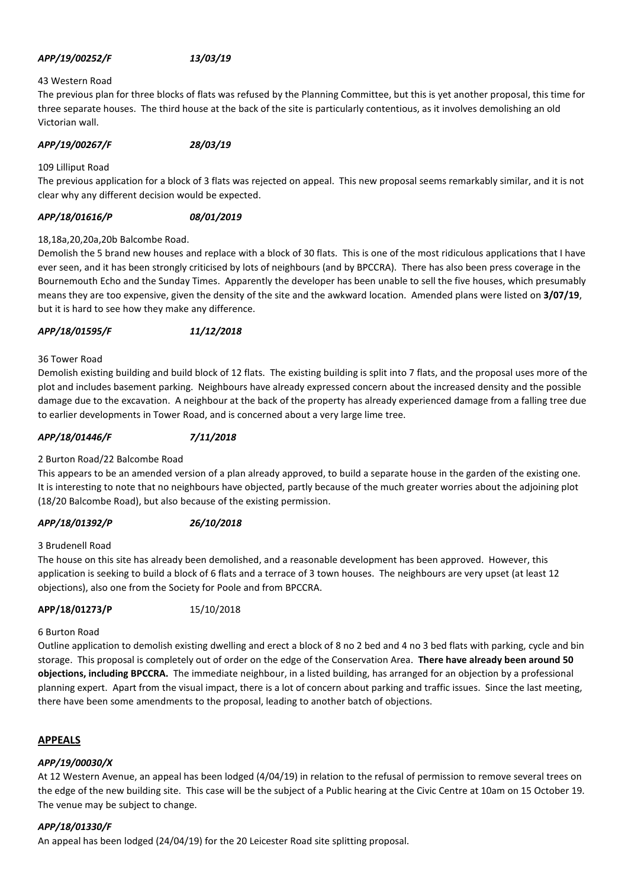### *APP/19/00252/F 13/03/19*

#### 43 Western Road

The previous plan for three blocks of flats was refused by the Planning Committee, but this is yet another proposal, this time for three separate houses. The third house at the back of the site is particularly contentious, as it involves demolishing an old Victorian wall.

*APP/19/00267/F 28/03/19*

109 Lilliput Road

The previous application for a block of 3 flats was rejected on appeal. This new proposal seems remarkably similar, and it is not clear why any different decision would be expected.

#### *APP/18/01616/P 08/01/2019*

#### 18,18a,20,20a,20b Balcombe Road.

Demolish the 5 brand new houses and replace with a block of 30 flats. This is one of the most ridiculous applications that I have ever seen, and it has been strongly criticised by lots of neighbours (and by BPCCRA). There has also been press coverage in the Bournemouth Echo and the Sunday Times. Apparently the developer has been unable to sell the five houses, which presumably means they are too expensive, given the density of the site and the awkward location. Amended plans were listed on **3/07/19**, but it is hard to see how they make any difference.

*APP/18/01595/F 11/12/2018*

#### 36 Tower Road

Demolish existing building and build block of 12 flats. The existing building is split into 7 flats, and the proposal uses more of the plot and includes basement parking. Neighbours have already expressed concern about the increased density and the possible damage due to the excavation. A neighbour at the back of the property has already experienced damage from a falling tree due to earlier developments in Tower Road, and is concerned about a very large lime tree.

#### *APP/18/01446/F 7/11/2018*

### 2 Burton Road/22 Balcombe Road

This appears to be an amended version of a plan already approved, to build a separate house in the garden of the existing one. It is interesting to note that no neighbours have objected, partly because of the much greater worries about the adjoining plot (18/20 Balcombe Road), but also because of the existing permission.

### *APP/18/01392/P 26/10/2018*

#### 3 Brudenell Road

The house on this site has already been demolished, and a reasonable development has been approved. However, this application is seeking to build a block of 6 flats and a terrace of 3 town houses. The neighbours are very upset (at least 12 objections), also one from the Society for Poole and from BPCCRA.

#### **APP/18/01273/P** 15/10/2018

#### 6 Burton Road

Outline application to demolish existing dwelling and erect a block of 8 no 2 bed and 4 no 3 bed flats with parking, cycle and bin storage. This proposal is completely out of order on the edge of the Conservation Area. **There have already been around 50 objections, including BPCCRA.** The immediate neighbour, in a listed building, has arranged for an objection by a professional planning expert. Apart from the visual impact, there is a lot of concern about parking and traffic issues. Since the last meeting, there have been some amendments to the proposal, leading to another batch of objections.

#### **APPEALS**

### *APP/19/00030/X*

At 12 Western Avenue, an appeal has been lodged (4/04/19) in relation to the refusal of permission to remove several trees on the edge of the new building site. This case will be the subject of a Public hearing at the Civic Centre at 10am on 15 October 19. The venue may be subject to change.

### *APP/18/01330/F*

An appeal has been lodged (24/04/19) for the 20 Leicester Road site splitting proposal.